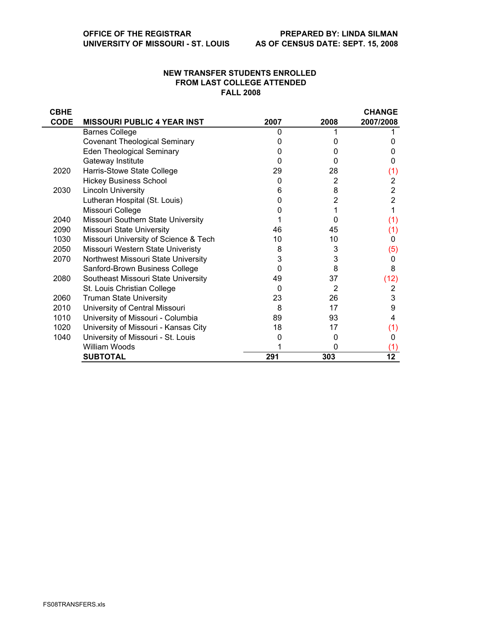## **NEW TRANSFER STUDENTS ENROLLED FROM LAST COLLEGE ATTENDED FALL 2008**

| <b>CBHE</b> |                                       |      |          | <b>CHANGE</b>  |
|-------------|---------------------------------------|------|----------|----------------|
| <b>CODE</b> | <b>MISSOURI PUBLIC 4 YEAR INST</b>    | 2007 | 2008     | 2007/2008      |
|             | <b>Barnes College</b>                 | 0    |          |                |
|             | <b>Covenant Theological Seminary</b>  |      |          | O              |
|             | <b>Eden Theological Seminary</b>      |      | $\Omega$ | O              |
|             | Gateway Institute                     | O    | 0        | 0              |
| 2020        | Harris-Stowe State College            | 29   | 28       | (1)            |
|             | <b>Hickey Business School</b>         | 0    | 2        | 2              |
| 2030        | <b>Lincoln University</b>             | 6    | 8        | $\overline{2}$ |
|             | Lutheran Hospital (St. Louis)         |      | 2        | $\overline{2}$ |
|             | Missouri College                      |      |          |                |
| 2040        | Missouri Southern State University    |      | 0        | (1)            |
| 2090        | Missouri State University             | 46   | 45       | (1)            |
| 1030        | Missouri University of Science & Tech | 10   | 10       | 0              |
| 2050        | Missouri Western State Univeristy     | 8    | 3        | (5)            |
| 2070        | Northwest Missouri State University   | 3    | 3        | 0              |
|             | Sanford-Brown Business College        | 0    | 8        | 8              |
| 2080        | Southeast Missouri State University   | 49   | 37       | (12)           |
|             | St. Louis Christian College           | 0    | 2        | 2              |
| 2060        | <b>Truman State University</b>        | 23   | 26       | 3              |
| 2010        | University of Central Missouri        | 8    | 17       | 9              |
| 1010        | University of Missouri - Columbia     | 89   | 93       | 4              |
| 1020        | University of Missouri - Kansas City  | 18   | 17       | (1)            |
| 1040        | University of Missouri - St. Louis    |      | 0        | 0              |
|             | William Woods                         |      | 0        | (1)            |
|             | <b>SUBTOTAL</b>                       | 291  | 303      | 12             |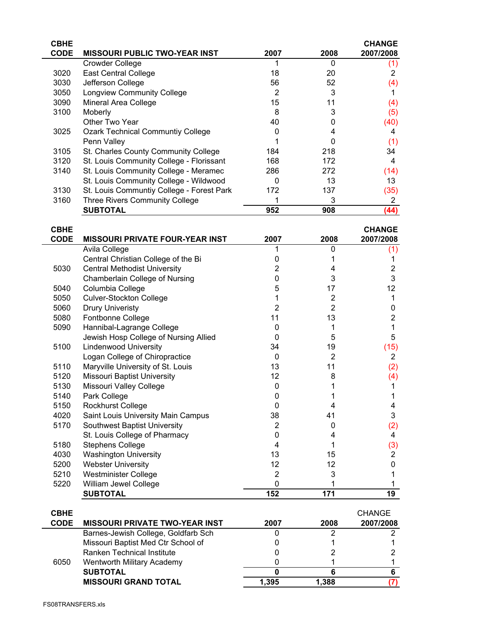| <b>CBHE</b> |                                           |      |      | <b>CHANGE</b> |
|-------------|-------------------------------------------|------|------|---------------|
| <b>CODE</b> | <b>MISSOURI PUBLIC TWO-YEAR INST</b>      | 2007 | 2008 | 2007/2008     |
|             | <b>Crowder College</b>                    |      | 0    | (1)           |
| 3020        | <b>East Central College</b>               | 18   | 20   | 2             |
| 3030        | Jefferson College                         | 56   | 52   | (4)           |
| 3050        | <b>Longview Community College</b>         | 2    | 3    |               |
| 3090        | Mineral Area College                      | 15   | 11   | (4)           |
| 3100        | Moberly                                   | 8    | 3    | (5)           |
|             | Other Two Year                            | 40   | 0    | (40)          |
| 3025        | <b>Ozark Technical Communtiy College</b>  |      |      | 4             |
|             | Penn Valley                               |      |      | (1)           |
| 3105        | St. Charles County Community College      | 184  | 218  | 34            |
| 3120        | St. Louis Community College - Florissant  | 168  | 172  | 4             |
| 3140        | St. Louis Community College - Meramec     | 286  | 272  | (14)          |
|             | St. Louis Community College - Wildwood    | 0    | 13   | 13            |
| 3130        | St. Louis Communtiy College - Forest Park | 172  | 137  | (35)          |
| 3160        | <b>Three Rivers Community College</b>     |      | 3    | 2             |
|             | <b>SUBTOTAL</b>                           | 952  | 908  | (44)          |
|             |                                           |      |      |               |

| <b>CBHE</b> |                                        |                |                | <b>CHANGE</b> |
|-------------|----------------------------------------|----------------|----------------|---------------|
| <b>CODE</b> | <b>MISSOURI PRIVATE FOUR-YEAR INST</b> | 2007           | 2008           | 2007/2008     |
|             | Avila College                          |                | 0              | (1)           |
|             | Central Christian College of the Bi    | 0              |                |               |
| 5030        | <b>Central Methodist University</b>    | 2              | 4              | 2             |
|             | Chamberlain College of Nursing         | $\Omega$       | 3              | 3             |
| 5040        | Columbia College                       | 5              | 17             | 12            |
| 5050        | <b>Culver-Stockton College</b>         |                | 2              |               |
| 5060        | <b>Drury Univeristy</b>                | 2              | 2              | 0             |
| 5080        | Fontbonne College                      | 11             | 13             | 2             |
| 5090        | Hannibal-Lagrange College              | 0              |                |               |
|             | Jewish Hosp College of Nursing Allied  | 0              | 5              | 5             |
| 5100        | <b>Lindenwood University</b>           | 34             | 19             | (15)          |
|             | Logan College of Chiropractice         | 0              | $\overline{2}$ | 2             |
| 5110        | Maryville University of St. Louis      | 13             | 11             | (2)           |
| 5120        | <b>Missouri Baptist University</b>     | 12             | 8              | (4)           |
| 5130        | Missouri Valley College                | 0              |                |               |
| 5140        | Park College                           | 0              |                |               |
| 5150        | Rockhurst College                      | 0              | 4              | 4             |
| 4020        | Saint Louis University Main Campus     | 38             | 41             | 3             |
| 5170        | Southwest Baptist University           | $\overline{2}$ | 0              | (2)           |
|             | St. Louis College of Pharmacy          | 0              | 4              | 4             |
| 5180        | <b>Stephens College</b>                | 4              |                | (3)           |
| 4030        | <b>Washington University</b>           | 13             | 15             | 2             |
| 5200        | <b>Webster University</b>              | 12             | 12             | 0             |
| 5210        | <b>Westminister College</b>            | $\overline{2}$ | 3              |               |
| 5220        | William Jewel College                  | $\mathbf{0}$   |                |               |
|             | <b>SUBTOTAL</b>                        | 152            | 171            | 19            |

| <b>CBHE</b> |                                       |       |       | <b>CHANGE</b> |
|-------------|---------------------------------------|-------|-------|---------------|
| <b>CODE</b> | <b>MISSOURI PRIVATE TWO-YEAR INST</b> | 2007  | 2008  | 2007/2008     |
| 6050        | Barnes-Jewish College, Goldfarb Sch   |       |       |               |
|             | Missouri Baptist Med Ctr School of    |       |       |               |
|             | Ranken Technical Institute            |       |       |               |
|             | Wentworth Military Academy            |       |       |               |
|             | <b>SUBTOTAL</b>                       |       |       |               |
|             | <b>MISSOURI GRAND TOTAL</b>           | 1.395 | 1.388 |               |
|             |                                       |       |       |               |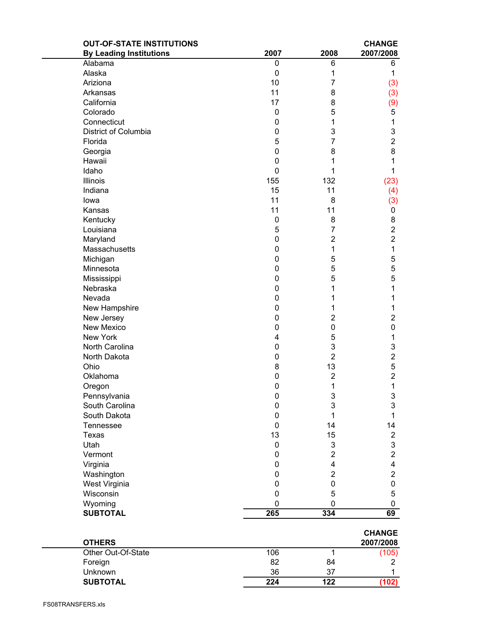| <b>OUT-OF-STATE INSTITUTIONS</b> |             |                         | <b>CHANGE</b>           |
|----------------------------------|-------------|-------------------------|-------------------------|
| <b>By Leading Institutions</b>   | 2007        | 2008                    | 2007/2008               |
| Alabama                          | 0           | 6                       | 6                       |
| Alaska                           | 0           | 1                       | 1                       |
| Ariziona                         | 10          | 7                       | (3)                     |
| Arkansas                         | 11          | 8                       | (3)                     |
| California                       | 17          | 8                       | (9)                     |
| Colorado                         | 0           | 5                       | 5                       |
| Connecticut                      | 0           | 1                       | 1                       |
| District of Columbia             | 0           | 3                       | 3                       |
| Florida                          | 5           | 7                       | $\overline{2}$          |
| Georgia                          | 0           | 8                       | 8                       |
| Hawaii                           | 0           | 1                       | 1                       |
| Idaho                            | 0           | 1                       | 1                       |
| <b>Illinois</b>                  | 155         | 132                     | (23)                    |
| Indiana                          | 15          | 11                      | (4)                     |
| lowa                             | 11          | 8                       | (3)                     |
| Kansas                           | 11          | 11                      | 0                       |
| Kentucky                         | $\pmb{0}$   | 8                       | 8                       |
| Louisiana                        | 5           | 7                       | $\overline{2}$          |
| Maryland                         | 0           | $\overline{2}$          | $\overline{2}$          |
| Massachusetts                    | 0           | 1                       | 1                       |
| Michigan                         | 0           | 5                       | 5                       |
| Minnesota                        | 0           | 5                       | 5                       |
| Mississippi                      | 0           | 5                       | 5                       |
| Nebraska                         | 0           | 1                       | 1                       |
| Nevada                           | 0           | 1                       | 1                       |
| New Hampshire                    | 0           | 1                       | 1                       |
| New Jersey                       | 0           | $\overline{c}$          | $\overline{2}$          |
| <b>New Mexico</b>                | 0           | 0                       | 0                       |
| New York                         | 4           | 5                       | 1                       |
| North Carolina                   |             | 3                       |                         |
| North Dakota                     | 0<br>0      | $\overline{2}$          | 3<br>$\overline{2}$     |
| Ohio                             | 8           | 13                      |                         |
|                                  |             |                         | 5                       |
| Oklahoma                         | 0           | $\overline{\mathbf{c}}$ | $\overline{\mathbf{c}}$ |
| Oregon                           | 0           | 1                       | 1                       |
| Pennsylvania                     | 0           | 3                       | 3                       |
| South Carolina                   | $\mathsf 0$ | 3                       | 3                       |
| South Dakota                     | 0           | 1                       | 1                       |
| Tennessee                        | 0           | 14                      | 14                      |
| Texas                            | 13          | 15                      | $\overline{2}$          |
| Utah                             | 0           | 3                       | 3                       |
| Vermont                          | 0           | $\overline{2}$          | $\overline{2}$          |
| Virginia                         | 0           | 4                       | 4                       |
| Washington                       | 0           | $\overline{2}$          | $\overline{2}$          |
| West Virginia                    | 0           | 0                       | 0                       |
| Wisconsin                        | 0           | 5                       | 5                       |
| Wyoming                          | 0           | 0                       | 0                       |
| <b>SUBTOTAL</b>                  | 265         | 334                     | 69                      |
|                                  |             |                         | <b>CHANGE</b>           |
| <b>OTHERS</b>                    |             |                         | 2007/2008               |
| Other Out-Of-State               | 106         | 1                       | (105)                   |
| Foreign                          | 82          | 84                      | 2                       |
| Unknown                          | 36          | 37                      |                         |
| <b>SUBTOTAL</b>                  | 224         | 122                     | (102)                   |